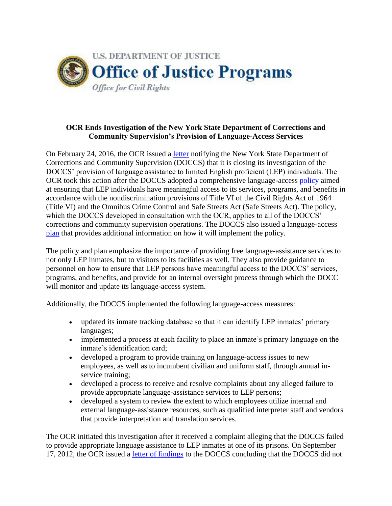

## **OCR Ends Investigation of the New York State Department of Corrections and Community Supervision's Provision of Language-Access Services**

On February 24, 2016, the OCR issued a [letter](http://ojp.gov/about/ocr/pdfs/NYDOCCS-11-OCR-249.pdf) notifying the New York State Department of Corrections and Community Supervision (DOCCS) that it is closing its investigation of the DOCCS' provision of language assistance to limited English proficient (LEP) individuals. The OCR took this action after the DOCCS adopted a comprehensive language-access [policy](http://www.doccs.ny.gov/Directives/4490.pdf) aimed at ensuring that LEP individuals have meaningful access to its services, programs, and benefits in accordance with the nondiscrimination provisions of Title VI of the Civil Rights Act of 1964 (Title VI) and the Omnibus Crime Control and Safe Streets Act (Safe Streets Act). The policy, which the DOCCS developed in consultation with the OCR, applies to all of the DOCCS' corrections and community supervision operations. The DOCCS also issued a language-access [plan](http://www.dhr.ny.gov/sites/default/files/pdf/lep/DOCCS%202014%20LAP.pdf) that provides additional information on how it will implement the policy.

The policy and plan emphasize the importance of providing free language-assistance services to not only LEP inmates, but to visitors to its facilities as well. They also provide guidance to personnel on how to ensure that LEP persons have meaningful access to the DOCCS' services, programs, and benefits, and provide for an internal oversight process through which the DOCC will monitor and update its language-access system.

Additionally, the DOCCS implemented the following language-access measures:

- updated its inmate tracking database so that it can identify LEP inmates' primary languages;
- implemented a process at each facility to place an inmate's primary language on the inmate's identification card;
- developed a program to provide training on language-access issues to new employees, as well as to incumbent civilian and uniform staff, through annual inservice training;
- developed a process to receive and resolve complaints about any alleged failure to provide appropriate language-assistance services to LEP persons;
- developed a system to review the extent to which employees utilize internal and external language-assistance resources, such as qualified interpreter staff and vendors that provide interpretation and translation services.

The OCR initiated this investigation after it received a complaint alleging that the DOCCS failed to provide appropriate language assistance to LEP inmates at one of its prisons. On September 17, 2012, the OCR issued a [letter of findings](http://ojp.gov/about/ocr/pdfs/NY-11-OCR-0249.pdf) to the DOCCS concluding that the DOCCS did not